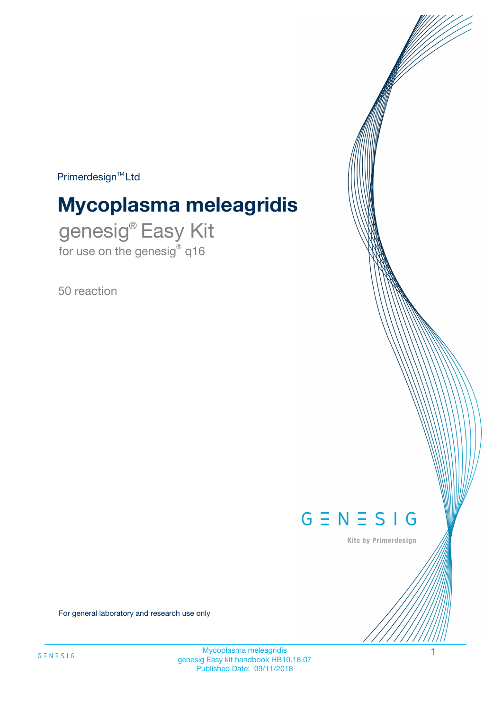$Primerdesign^{\text{TM}}Ltd$ 

# **Mycoplasma meleagridis**

genesig® Easy Kit for use on the genesig® q16

50 reaction



Kits by Primerdesign

For general laboratory and research use only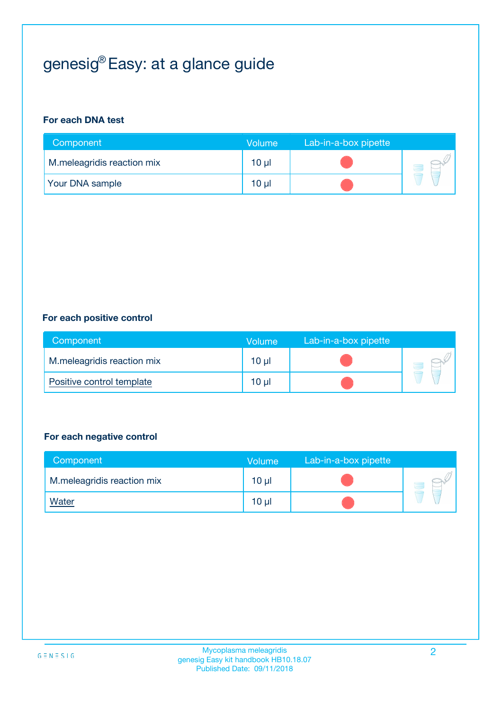# genesig® Easy: at a glance guide

#### **For each DNA test**

| Component                  | <b>Volume</b> | Lab-in-a-box pipette |  |
|----------------------------|---------------|----------------------|--|
| M.meleagridis reaction mix | $10 \mu$      |                      |  |
| <b>Your DNA sample</b>     | 10 µl         |                      |  |

#### **For each positive control**

| Component                  | Volume   | Lab-in-a-box pipette |  |
|----------------------------|----------|----------------------|--|
| M.meleagridis reaction mix | 10 µl    |                      |  |
| Positive control template  | $10 \mu$ |                      |  |

#### **For each negative control**

| Component                  | <b>Volume</b>   | Lab-in-a-box pipette |  |
|----------------------------|-----------------|----------------------|--|
| M.meleagridis reaction mix | 10 <sub>µ</sub> |                      |  |
| <u>Water</u>               | 10 <sub>µ</sub> |                      |  |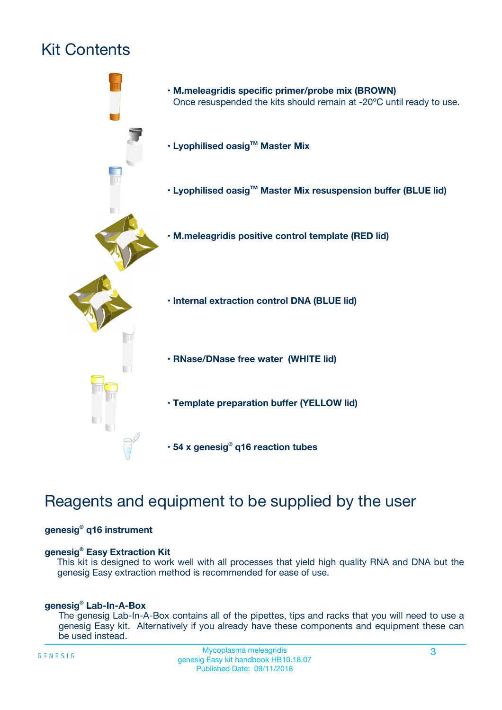# Kit Contents



# Reagents and equipment to be supplied by the user

#### **genesig® q16 instrument**

#### **genesig® Easy Extraction Kit**

This kit is designed to work well with all processes that yield high quality RNA and DNA but the genesig Easy extraction method is recommended for ease of use.

#### **genesig® Lab-In-A-Box**

The genesig Lab-In-A-Box contains all of the pipettes, tips and racks that you will need to use a genesig Easy kit. Alternatively if you already have these components and equipment these can be used instead.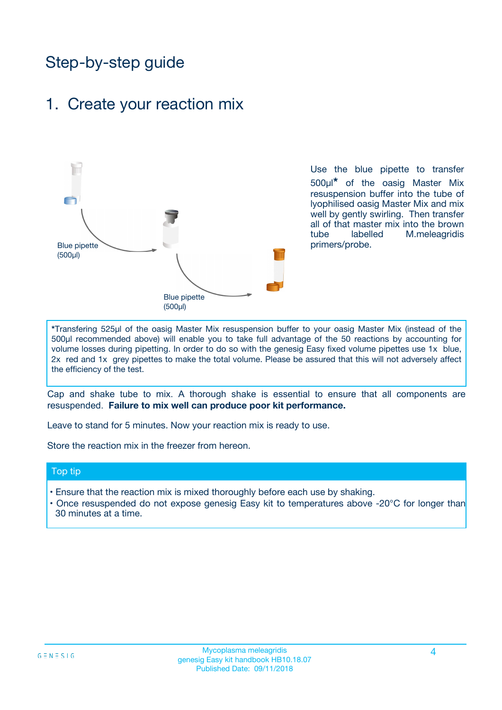# Step-by-step guide

### 1. Create your reaction mix



Use the blue pipette to transfer 500µl**\*** of the oasig Master Mix resuspension buffer into the tube of lyophilised oasig Master Mix and mix well by gently swirling. Then transfer all of that master mix into the brown tube labelled M.meleagridis primers/probe.

**\***Transfering 525µl of the oasig Master Mix resuspension buffer to your oasig Master Mix (instead of the 500µl recommended above) will enable you to take full advantage of the 50 reactions by accounting for volume losses during pipetting. In order to do so with the genesig Easy fixed volume pipettes use 1x blue, 2x red and 1x grey pipettes to make the total volume. Please be assured that this will not adversely affect the efficiency of the test.

Cap and shake tube to mix. A thorough shake is essential to ensure that all components are resuspended. **Failure to mix well can produce poor kit performance.**

Leave to stand for 5 minutes. Now your reaction mix is ready to use.

Store the reaction mix in the freezer from hereon.

#### Top tip

- Ensure that the reaction mix is mixed thoroughly before each use by shaking.
- **•** Once resuspended do not expose genesig Easy kit to temperatures above -20°C for longer than 30 minutes at a time.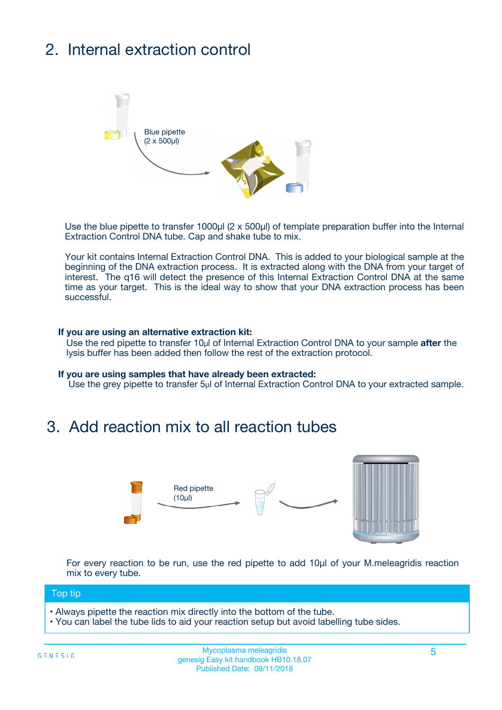# 2. Internal extraction control



Use the blue pipette to transfer 1000µl (2 x 500µl) of template preparation buffer into the Internal Extraction Control DNA tube. Cap and shake tube to mix.

Your kit contains Internal Extraction Control DNA. This is added to your biological sample at the beginning of the DNA extraction process. It is extracted along with the DNA from your target of interest. The q16 will detect the presence of this Internal Extraction Control DNA at the same time as your target. This is the ideal way to show that your DNA extraction process has been **successful.** 

#### **If you are using an alternative extraction kit:**

Use the red pipette to transfer 10µl of Internal Extraction Control DNA to your sample **after** the lysis buffer has been added then follow the rest of the extraction protocol.

#### **If you are using samples that have already been extracted:**

Use the grey pipette to transfer 5µl of Internal Extraction Control DNA to your extracted sample.

### 3. Add reaction mix to all reaction tubes



For every reaction to be run, use the red pipette to add 10µl of your M.meleagridis reaction mix to every tube.

#### Top tip

- Always pipette the reaction mix directly into the bottom of the tube.
- You can label the tube lids to aid your reaction setup but avoid labelling tube sides.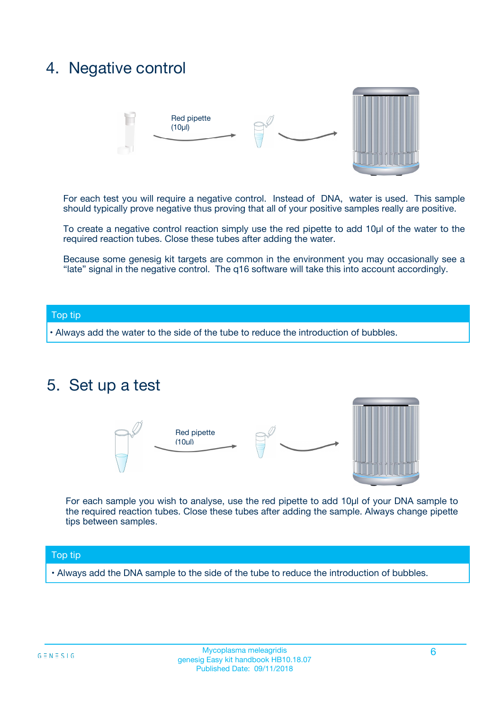### 4. Negative control



For each test you will require a negative control. Instead of DNA, water is used. This sample should typically prove negative thus proving that all of your positive samples really are positive.

To create a negative control reaction simply use the red pipette to add 10µl of the water to the required reaction tubes. Close these tubes after adding the water.

Because some genesig kit targets are common in the environment you may occasionally see a "late" signal in the negative control. The q16 software will take this into account accordingly.

#### Top tip

**•** Always add the water to the side of the tube to reduce the introduction of bubbles.

### 5. Set up a test



For each sample you wish to analyse, use the red pipette to add 10µl of your DNA sample to the required reaction tubes. Close these tubes after adding the sample. Always change pipette tips between samples.

#### Top tip

**•** Always add the DNA sample to the side of the tube to reduce the introduction of bubbles.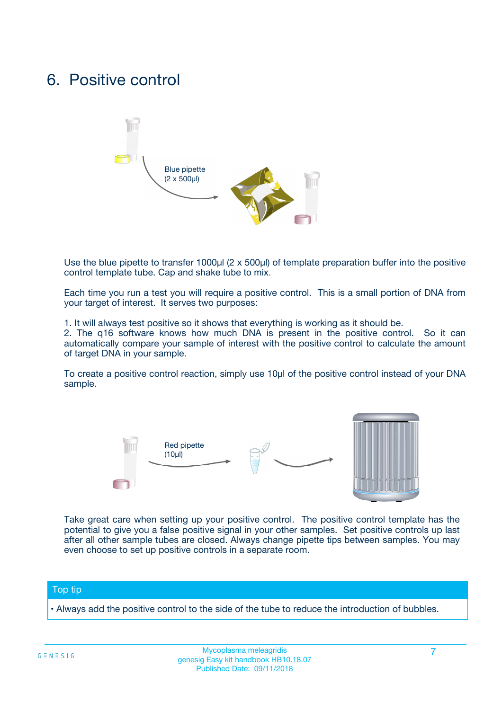### 6. Positive control



Use the blue pipette to transfer 1000µl (2 x 500µl) of template preparation buffer into the positive control template tube. Cap and shake tube to mix.

Each time you run a test you will require a positive control. This is a small portion of DNA from your target of interest. It serves two purposes:

1. It will always test positive so it shows that everything is working as it should be.

2. The q16 software knows how much DNA is present in the positive control. So it can automatically compare your sample of interest with the positive control to calculate the amount of target DNA in your sample.

To create a positive control reaction, simply use 10µl of the positive control instead of your DNA sample.



Take great care when setting up your positive control. The positive control template has the potential to give you a false positive signal in your other samples. Set positive controls up last after all other sample tubes are closed. Always change pipette tips between samples. You may even choose to set up positive controls in a separate room.

#### Top tip

**•** Always add the positive control to the side of the tube to reduce the introduction of bubbles.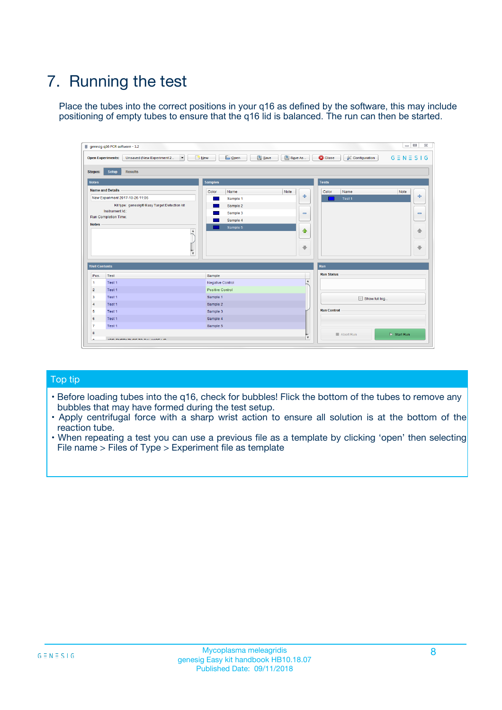# 7. Running the test

Place the tubes into the correct positions in your q16 as defined by the software, this may include positioning of empty tubes to ensure that the q16 lid is balanced. The run can then be started.

|                      | genesig q16 PCR software - 1.2                                               |                                |                              |                                          | $\begin{array}{c c c c} \hline \multicolumn{3}{c }{\textbf{0}} & \multicolumn{3}{c }{\textbf{0}} \end{array}$<br>$\Sigma\!3$ |
|----------------------|------------------------------------------------------------------------------|--------------------------------|------------------------------|------------------------------------------|------------------------------------------------------------------------------------------------------------------------------|
|                      | $\vert \cdot \vert$<br><b>Open Experiments:</b><br>Unsaved (New Experiment 2 | Open<br>Save<br>$\sqrt{9}$ New | Save As                      | <b>C</b> Close<br><b>X</b> Configuration | $G \equiv N \equiv S \mid G$                                                                                                 |
| <b>Stages:</b>       | Setup<br><b>Results</b>                                                      |                                |                              |                                          |                                                                                                                              |
| <b>Notes</b>         |                                                                              | <b>Samples</b>                 |                              | <b>Tests</b>                             |                                                                                                                              |
|                      | <b>Name and Details</b>                                                      | Color<br>Name                  | Note                         | Color<br>Name                            | Note                                                                                                                         |
|                      | New Experiment 2017-10-26 11:06                                              | Sample 1                       | ÷                            | Test 1                                   | ÷                                                                                                                            |
|                      | Kit type: genesig® Easy Target Detection kit                                 | Sample 2                       |                              |                                          |                                                                                                                              |
|                      | Instrument Id.:                                                              | Sample 3                       | $\qquad \qquad \blacksquare$ |                                          | $\qquad \qquad \blacksquare$                                                                                                 |
|                      | <b>Run Completion Time:</b>                                                  | Sample 4                       |                              |                                          |                                                                                                                              |
| <b>Notes</b>         | <b>A</b><br>v                                                                | Sample 5                       | $\triangle$<br>$\oplus$      |                                          | 4<br>₩                                                                                                                       |
| <b>Well Contents</b> |                                                                              |                                |                              | Run                                      |                                                                                                                              |
| Pos.                 | Test                                                                         | Sample                         |                              | <b>Run Status</b>                        |                                                                                                                              |
| $\overline{1}$       | Test 1                                                                       | <b>Negative Control</b>        | $\blacktriangle$             |                                          |                                                                                                                              |
| $\overline{2}$       | Test 1                                                                       | <b>Positive Control</b>        |                              |                                          |                                                                                                                              |
| 3                    | Test 1                                                                       | Sample 1                       |                              | Show full log                            |                                                                                                                              |
| $\overline{4}$       | Test 1                                                                       | Sample 2                       |                              |                                          |                                                                                                                              |
| 5                    | Test 1                                                                       | Sample 3                       |                              | <b>Run Control</b>                       |                                                                                                                              |
| 6                    | Test 1                                                                       | Sample 4                       |                              |                                          |                                                                                                                              |
| $\overline{7}$       | Test 1                                                                       | Sample 5                       |                              |                                          |                                                                                                                              |
| -8                   |                                                                              |                                |                              | Abort Run                                | $\triangleright$ Start Run                                                                                                   |
|                      | <b>JOB FURTY TURE TO BULLMAR LIB</b>                                         |                                | $\overline{\mathbf{v}}$      |                                          |                                                                                                                              |

#### Top tip

- Before loading tubes into the q16, check for bubbles! Flick the bottom of the tubes to remove any bubbles that may have formed during the test setup.
- Apply centrifugal force with a sharp wrist action to ensure all solution is at the bottom of the reaction tube.
- When repeating a test you can use a previous file as a template by clicking 'open' then selecting File name > Files of Type > Experiment file as template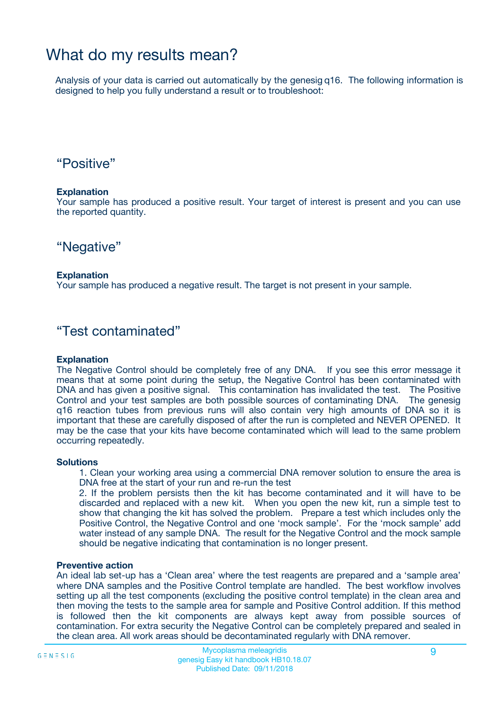### What do my results mean?

Analysis of your data is carried out automatically by the genesig q16. The following information is designed to help you fully understand a result or to troubleshoot:

### "Positive"

#### **Explanation**

Your sample has produced a positive result. Your target of interest is present and you can use the reported quantity.

"Negative"

#### **Explanation**

Your sample has produced a negative result. The target is not present in your sample.

### "Test contaminated"

#### **Explanation**

The Negative Control should be completely free of any DNA. If you see this error message it means that at some point during the setup, the Negative Control has been contaminated with DNA and has given a positive signal. This contamination has invalidated the test. The Positive Control and your test samples are both possible sources of contaminating DNA. The genesig q16 reaction tubes from previous runs will also contain very high amounts of DNA so it is important that these are carefully disposed of after the run is completed and NEVER OPENED. It may be the case that your kits have become contaminated which will lead to the same problem occurring repeatedly.

#### **Solutions**

1. Clean your working area using a commercial DNA remover solution to ensure the area is DNA free at the start of your run and re-run the test

2. If the problem persists then the kit has become contaminated and it will have to be discarded and replaced with a new kit. When you open the new kit, run a simple test to show that changing the kit has solved the problem. Prepare a test which includes only the Positive Control, the Negative Control and one 'mock sample'. For the 'mock sample' add water instead of any sample DNA. The result for the Negative Control and the mock sample should be negative indicating that contamination is no longer present.

#### **Preventive action**

An ideal lab set-up has a 'Clean area' where the test reagents are prepared and a 'sample area' where DNA samples and the Positive Control template are handled. The best workflow involves setting up all the test components (excluding the positive control template) in the clean area and then moving the tests to the sample area for sample and Positive Control addition. If this method is followed then the kit components are always kept away from possible sources of contamination. For extra security the Negative Control can be completely prepared and sealed in the clean area. All work areas should be decontaminated regularly with DNA remover.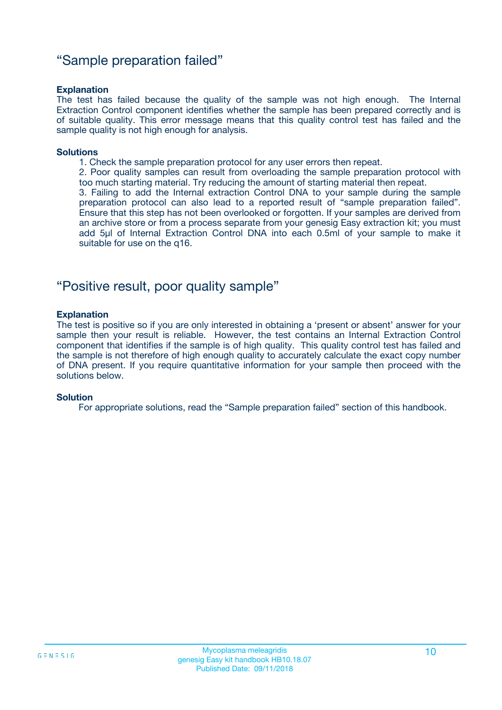### "Sample preparation failed"

#### **Explanation**

The test has failed because the quality of the sample was not high enough. The Internal Extraction Control component identifies whether the sample has been prepared correctly and is of suitable quality. This error message means that this quality control test has failed and the sample quality is not high enough for analysis.

#### **Solutions**

1. Check the sample preparation protocol for any user errors then repeat.

2. Poor quality samples can result from overloading the sample preparation protocol with too much starting material. Try reducing the amount of starting material then repeat.

3. Failing to add the Internal extraction Control DNA to your sample during the sample preparation protocol can also lead to a reported result of "sample preparation failed". Ensure that this step has not been overlooked or forgotten. If your samples are derived from an archive store or from a process separate from your genesig Easy extraction kit; you must add 5µl of Internal Extraction Control DNA into each 0.5ml of your sample to make it suitable for use on the q16.

### "Positive result, poor quality sample"

#### **Explanation**

The test is positive so if you are only interested in obtaining a 'present or absent' answer for your sample then your result is reliable. However, the test contains an Internal Extraction Control component that identifies if the sample is of high quality. This quality control test has failed and the sample is not therefore of high enough quality to accurately calculate the exact copy number of DNA present. If you require quantitative information for your sample then proceed with the solutions below.

#### **Solution**

For appropriate solutions, read the "Sample preparation failed" section of this handbook.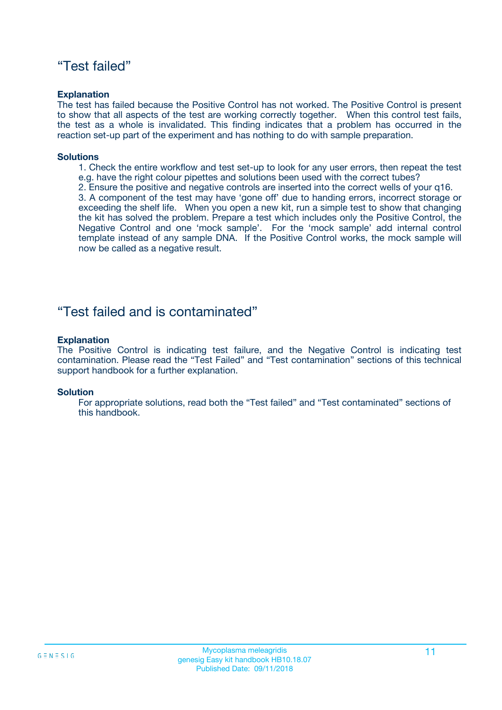### "Test failed"

#### **Explanation**

The test has failed because the Positive Control has not worked. The Positive Control is present to show that all aspects of the test are working correctly together. When this control test fails, the test as a whole is invalidated. This finding indicates that a problem has occurred in the reaction set-up part of the experiment and has nothing to do with sample preparation.

#### **Solutions**

- 1. Check the entire workflow and test set-up to look for any user errors, then repeat the test e.g. have the right colour pipettes and solutions been used with the correct tubes?
- 2. Ensure the positive and negative controls are inserted into the correct wells of your q16.

3. A component of the test may have 'gone off' due to handing errors, incorrect storage or exceeding the shelf life. When you open a new kit, run a simple test to show that changing the kit has solved the problem. Prepare a test which includes only the Positive Control, the Negative Control and one 'mock sample'. For the 'mock sample' add internal control template instead of any sample DNA. If the Positive Control works, the mock sample will now be called as a negative result.

### "Test failed and is contaminated"

#### **Explanation**

The Positive Control is indicating test failure, and the Negative Control is indicating test contamination. Please read the "Test Failed" and "Test contamination" sections of this technical support handbook for a further explanation.

#### **Solution**

For appropriate solutions, read both the "Test failed" and "Test contaminated" sections of this handbook.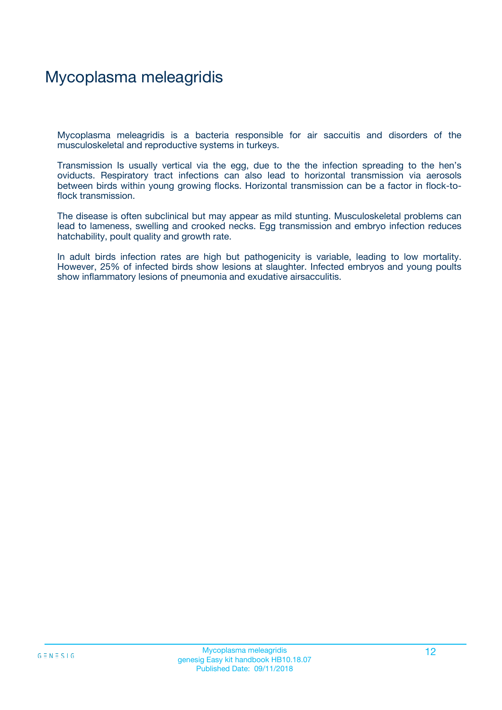# Mycoplasma meleagridis

Mycoplasma meleagridis is a bacteria responsible for air saccuitis and disorders of the musculoskeletal and reproductive systems in turkeys.

Transmission Is usually vertical via the egg, due to the the infection spreading to the hen's oviducts. Respiratory tract infections can also lead to horizontal transmission via aerosols between birds within young growing flocks. Horizontal transmission can be a factor in flock-toflock transmission.

The disease is often subclinical but may appear as mild stunting. Musculoskeletal problems can lead to lameness, swelling and crooked necks. Egg transmission and embryo infection reduces hatchability, poult quality and growth rate.

In adult birds infection rates are high but pathogenicity is variable, leading to low mortality. However, 25% of infected birds show lesions at slaughter. Infected embryos and young poults show inflammatory lesions of pneumonia and exudative airsacculitis.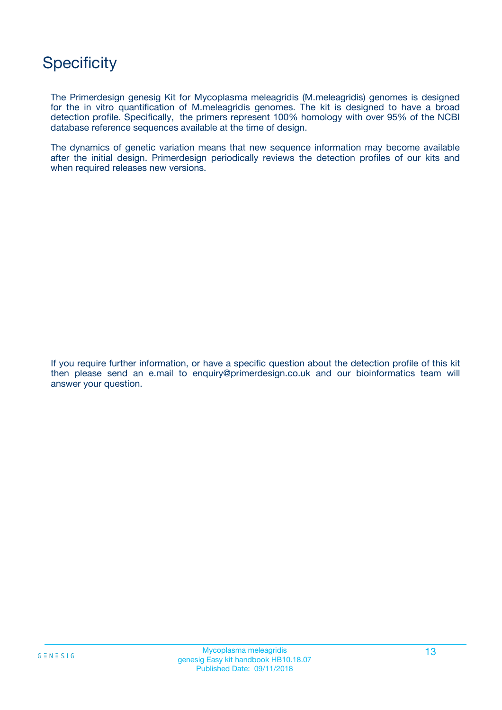# **Specificity**

The Primerdesign genesig Kit for Mycoplasma meleagridis (M.meleagridis) genomes is designed for the in vitro quantification of M.meleagridis genomes. The kit is designed to have a broad detection profile. Specifically, the primers represent 100% homology with over 95% of the NCBI database reference sequences available at the time of design.

The dynamics of genetic variation means that new sequence information may become available after the initial design. Primerdesign periodically reviews the detection profiles of our kits and when required releases new versions.

If you require further information, or have a specific question about the detection profile of this kit then please send an e.mail to enquiry@primerdesign.co.uk and our bioinformatics team will answer your question.